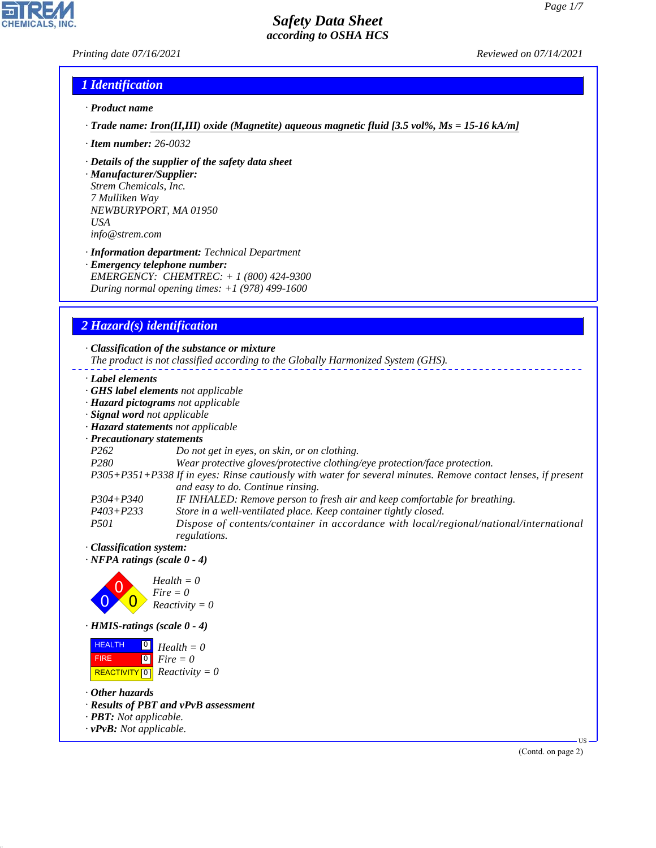## *Printing date 07/16/2021 Reviewed on 07/14/2021*

## *1 Identification*

- *· Product name*
- *· Trade name: Iron(II,III) oxide (Magnetite) aqueous magnetic fluid [3.5 vol%, Ms = 15-16 kA/m]*
- *· Item number: 26-0032*
- *· Details of the supplier of the safety data sheet*

*· Manufacturer/Supplier: Strem Chemicals, Inc. 7 Mulliken Way NEWBURYPORT, MA 01950 USA info@strem.com*

*· Information department: Technical Department · Emergency telephone number: EMERGENCY: CHEMTREC: + 1 (800) 424-9300 During normal opening times: +1 (978) 499-1600*

## *2 Hazard(s) identification*

*· Classification of the substance or mixture The product is not classified according to the Globally Harmonized System (GHS). · Label elements · GHS label elements not applicable · Hazard pictograms not applicable · Signal word not applicable · Hazard statements not applicable · Precautionary statements P262 Do not get in eyes, on skin, or on clothing. P280 Wear protective gloves/protective clothing/eye protection/face protection. P305+P351+P338 If in eyes: Rinse cautiously with water for several minutes. Remove contact lenses, if present and easy to do. Continue rinsing. P304+P340 IF INHALED: Remove person to fresh air and keep comfortable for breathing. P403+P233 Store in a well-ventilated place. Keep container tightly closed. P501 Dispose of contents/container in accordance with local/regional/national/international regulations. · Classification system: · NFPA ratings (scale 0 - 4)* 0 0  $\overline{\mathbf{0}}$ *Health = 0 Fire = 0 Reactivity = 0 · HMIS-ratings (scale 0 - 4)* **HEALTH**  FIRE  $\boxed{0}$  $\boxed{0}$ *Health = 0 Fire = 0*

*· Other hazards*

44.1.1

*· Results of PBT and vPvB assessment*

 $\boxed{\text{REACTIVITY} \boxed{0}}$  Reactivity = 0

- *· PBT: Not applicable.*
- *· vPvB: Not applicable.*

(Contd. on page 2)

US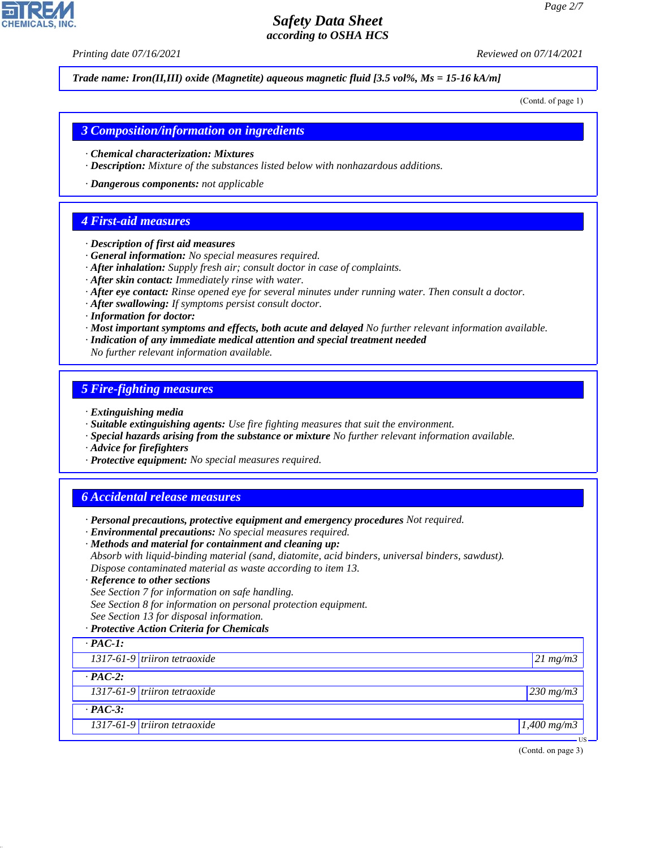*Printing date 07/16/2021 Reviewed on 07/14/2021*

*Trade name: Iron(II,III) oxide (Magnetite) aqueous magnetic fluid [3.5 vol%, Ms = 15-16 kA/m]*

(Contd. of page 1)

*3 Composition/information on ingredients*

- *· Chemical characterization: Mixtures*
- *· Description: Mixture of the substances listed below with nonhazardous additions.*
- *· Dangerous components: not applicable*

## *4 First-aid measures*

- *· Description of first aid measures*
- *· General information: No special measures required.*
- *· After inhalation: Supply fresh air; consult doctor in case of complaints.*
- *· After skin contact: Immediately rinse with water.*
- *· After eye contact: Rinse opened eye for several minutes under running water. Then consult a doctor.*
- *· After swallowing: If symptoms persist consult doctor.*
- *· Information for doctor:*
- *· Most important symptoms and effects, both acute and delayed No further relevant information available.*
- *· Indication of any immediate medical attention and special treatment needed*
- *No further relevant information available.*

## *5 Fire-fighting measures*

- *· Extinguishing media*
- *· Suitable extinguishing agents: Use fire fighting measures that suit the environment.*
- *· Special hazards arising from the substance or mixture No further relevant information available.*
- *· Advice for firefighters*
- *· Protective equipment: No special measures required.*

## *6 Accidental release measures*

- *· Personal precautions, protective equipment and emergency procedures Not required.*
- *· Environmental precautions: No special measures required.*
- *· Methods and material for containment and cleaning up:*
- *Absorb with liquid-binding material (sand, diatomite, acid binders, universal binders, sawdust). Dispose contaminated material as waste according to item 13.*
- *· Reference to other sections*
- *See Section 7 for information on safe handling.*
- *See Section 8 for information on personal protection equipment.*
- *See Section 13 for disposal information.*
- *· Protective Action Criteria for Chemicals*

# *· PAC-1:*

44.1.1

| 1317-61-9 triiron tetraoxide   | $21 \, mg/m3$ |
|--------------------------------|---------------|
| $\cdot$ PAC-2:                 |               |
| $1317-61-9$ triiron tetraoxide | $230$ mg/m3   |
| $\cdot$ PAC-3:                 |               |

*1317-61-9 triiron tetraoxide 1,400 mg/m3*

(Contd. on page 3)

US

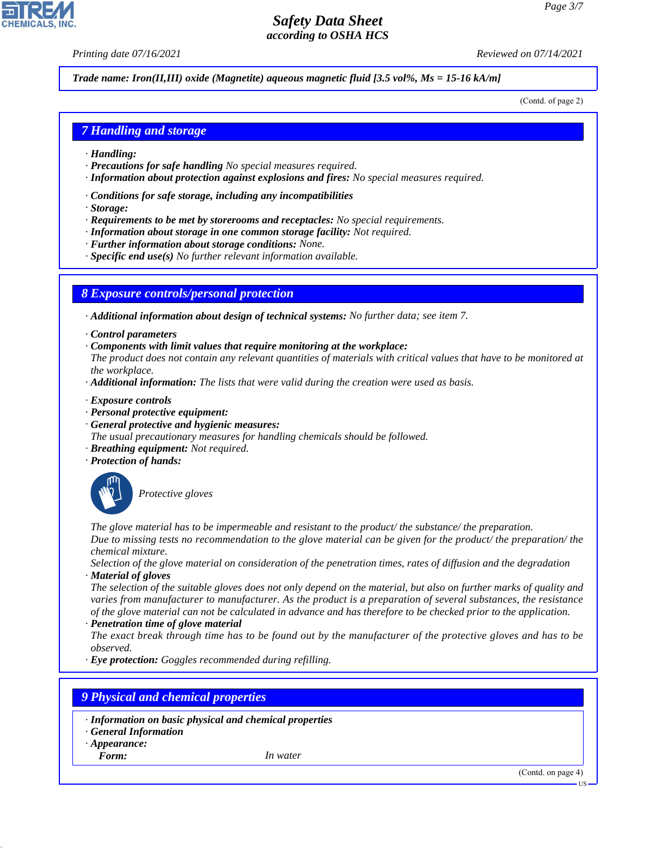*Printing date 07/16/2021 Reviewed on 07/14/2021*

#### *Trade name: Iron(II,III) oxide (Magnetite) aqueous magnetic fluid [3.5 vol%, Ms = 15-16 kA/m]*

(Contd. of page 2)

#### *7 Handling and storage*

- *· Handling:*
- *· Precautions for safe handling No special measures required.*
- *· Information about protection against explosions and fires: No special measures required.*
- *· Conditions for safe storage, including any incompatibilities*
- *· Storage:*
- *· Requirements to be met by storerooms and receptacles: No special requirements.*
- *· Information about storage in one common storage facility: Not required.*
- *· Further information about storage conditions: None.*
- *· Specific end use(s) No further relevant information available.*

#### *8 Exposure controls/personal protection*

*· Additional information about design of technical systems: No further data; see item 7.*

- *· Control parameters*
- *· Components with limit values that require monitoring at the workplace:*
- *The product does not contain any relevant quantities of materials with critical values that have to be monitored at the workplace.*
- *· Additional information: The lists that were valid during the creation were used as basis.*
- *· Exposure controls*
- *· Personal protective equipment:*
- *· General protective and hygienic measures:*
- *The usual precautionary measures for handling chemicals should be followed.*
- *· Breathing equipment: Not required.*
- *· Protection of hands:*



\_S*Protective gloves*

*The glove material has to be impermeable and resistant to the product/ the substance/ the preparation. Due to missing tests no recommendation to the glove material can be given for the product/ the preparation/ the chemical mixture.*

*Selection of the glove material on consideration of the penetration times, rates of diffusion and the degradation · Material of gloves*

*The selection of the suitable gloves does not only depend on the material, but also on further marks of quality and varies from manufacturer to manufacturer. As the product is a preparation of several substances, the resistance of the glove material can not be calculated in advance and has therefore to be checked prior to the application.*

*· Penetration time of glove material*

*The exact break through time has to be found out by the manufacturer of the protective gloves and has to be observed.*

*· Eye protection: Goggles recommended during refilling.*

#### *9 Physical and chemical properties*

- *· Information on basic physical and chemical properties*
- *· General Information*
- *· Appearance:*
- *Form: In water*

44.1.1



US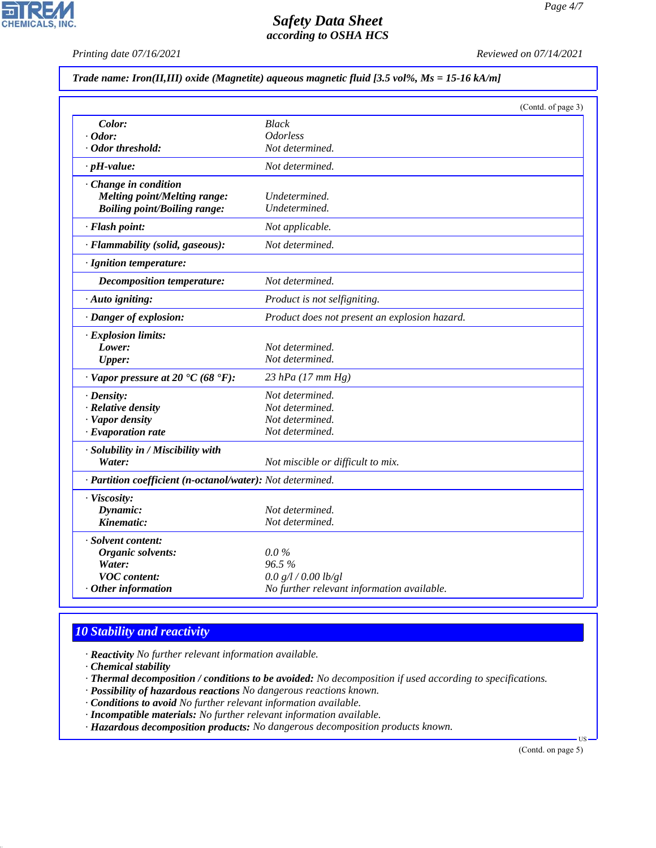*Printing date 07/16/2021 Reviewed on 07/14/2021*

## *Trade name: Iron(II,III) oxide (Magnetite) aqueous magnetic fluid [3.5 vol%, Ms = 15-16 kA/m]*

|                                                            | (Contd. of page 3)                            |  |
|------------------------------------------------------------|-----------------------------------------------|--|
| Color:                                                     | <b>Black</b>                                  |  |
| $\cdot$ Odor:                                              | <b>Odorless</b>                               |  |
| · Odor threshold:                                          | Not determined.                               |  |
| $\cdot$ pH-value:                                          | Not determined.                               |  |
| Change in condition                                        |                                               |  |
| <b>Melting point/Melting range:</b>                        | Undetermined.                                 |  |
| <b>Boiling point/Boiling range:</b>                        | Undetermined.                                 |  |
| · Flash point:                                             | Not applicable.                               |  |
| · Flammability (solid, gaseous):                           | Not determined.                               |  |
| · Ignition temperature:                                    |                                               |  |
| <b>Decomposition temperature:</b>                          | Not determined.                               |  |
| · Auto igniting:                                           | Product is not selfigniting.                  |  |
| · Danger of explosion:                                     | Product does not present an explosion hazard. |  |
| · Explosion limits:                                        |                                               |  |
| Lower:                                                     | Not determined.                               |  |
| <b>Upper:</b>                                              | Not determined.                               |  |
| $\cdot$ Vapor pressure at 20 °C (68 °F):                   | 23 hPa (17 mm Hg)                             |  |
| $\cdot$ Density:                                           | Not determined.                               |  |
| · Relative density                                         | Not determined.                               |  |
| · Vapor density                                            | Not determined.                               |  |
| $\cdot$ Evaporation rate                                   | Not determined.                               |  |
| · Solubility in / Miscibility with                         |                                               |  |
| Water:                                                     | Not miscible or difficult to mix.             |  |
| · Partition coefficient (n-octanol/water): Not determined. |                                               |  |
| · Viscosity:                                               |                                               |  |
| Dynamic:                                                   | Not determined.                               |  |
| Kinematic:                                                 | Not determined.                               |  |
| · Solvent content:                                         |                                               |  |
| Organic solvents:                                          | $0.0\%$                                       |  |
| Water:                                                     | 96.5%                                         |  |
| <b>VOC</b> content:                                        | 0.0 g/l / 0.00 lb/gl                          |  |
| Other information                                          | No further relevant information available.    |  |

# *10 Stability and reactivity*

*· Reactivity No further relevant information available.*

*· Chemical stability*

44.1.1

*· Thermal decomposition / conditions to be avoided: No decomposition if used according to specifications.*

*· Possibility of hazardous reactions No dangerous reactions known.*

*· Conditions to avoid No further relevant information available.*

*· Incompatible materials: No further relevant information available.*

*· Hazardous decomposition products: No dangerous decomposition products known.*

(Contd. on page 5)

US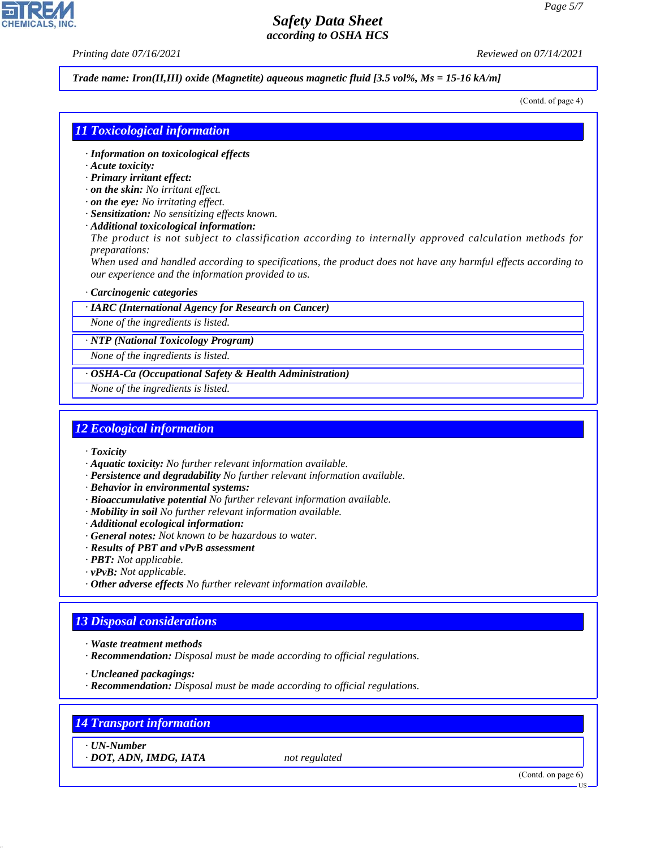*Printing date 07/16/2021 Reviewed on 07/14/2021*

#### *Trade name: Iron(II,III) oxide (Magnetite) aqueous magnetic fluid [3.5 vol%, Ms = 15-16 kA/m]*

(Contd. of page 4)

## *11 Toxicological information*

- *· Information on toxicological effects*
- *· Acute toxicity:*
- *· Primary irritant effect:*
- *· on the skin: No irritant effect.*
- *· on the eye: No irritating effect.*
- *· Sensitization: No sensitizing effects known.*
- *· Additional toxicological information:*

*The product is not subject to classification according to internally approved calculation methods for preparations:*

*When used and handled according to specifications, the product does not have any harmful effects according to our experience and the information provided to us.*

#### *· Carcinogenic categories*

*· IARC (International Agency for Research on Cancer)*

*None of the ingredients is listed.*

*· NTP (National Toxicology Program)*

*None of the ingredients is listed.*

*· OSHA-Ca (Occupational Safety & Health Administration)*

*None of the ingredients is listed.*

#### *12 Ecological information*

- *· Toxicity*
- *· Aquatic toxicity: No further relevant information available.*
- *· Persistence and degradability No further relevant information available.*
- *· Behavior in environmental systems:*
- *· Bioaccumulative potential No further relevant information available.*
- *· Mobility in soil No further relevant information available.*
- *· Additional ecological information:*
- *· General notes: Not known to be hazardous to water.*
- *· Results of PBT and vPvB assessment*
- *· PBT: Not applicable.*
- *· vPvB: Not applicable.*
- *· Other adverse effects No further relevant information available.*

## *13 Disposal considerations*

- *· Waste treatment methods*
- *· Recommendation: Disposal must be made according to official regulations.*

*· Uncleaned packagings:*

*· Recommendation: Disposal must be made according to official regulations.*

## *14 Transport information*

*· UN-Number*

44.1.1

*· DOT, ADN, IMDG, IATA not regulated*

(Contd. on page 6)

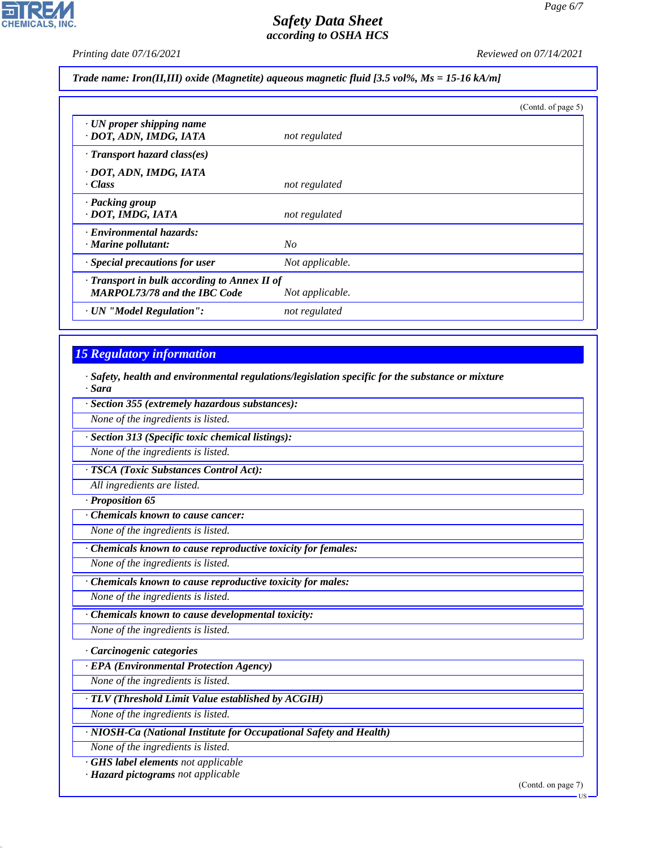$\overline{\mathbf{r}}$ 

CHEMICALS, INC.

*Printing date 07/16/2021 Reviewed on 07/14/2021*

*Trade name: Iron(II,III) oxide (Magnetite) aqueous magnetic fluid [3.5 vol%, Ms = 15-16 kA/m]*

|                                                                                           |                 | (Contd. of page 5) |
|-------------------------------------------------------------------------------------------|-----------------|--------------------|
| $\cdot$ UN proper shipping name<br>· DOT, ADN, IMDG, IATA                                 | not regulated   |                    |
| · Transport hazard class(es)                                                              |                 |                    |
| · DOT, ADN, IMDG, IATA<br>· Class                                                         | not regulated   |                    |
| · Packing group<br>· DOT, IMDG, IATA                                                      | not regulated   |                    |
| · Environmental hazards:<br>$\cdot$ Marine pollutant:                                     | No              |                    |
| $\cdot$ Special precautions for user                                                      | Not applicable. |                    |
| $\cdot$ Transport in bulk according to Annex II of<br><b>MARPOL73/78 and the IBC Code</b> | Not applicable. |                    |
| · UN "Model Regulation":                                                                  | not regulated   |                    |

# *15 Regulatory information*

*· Safety, health and environmental regulations/legislation specific for the substance or mixture · Sara*

| · Section 355 (extremely hazardous substances):                    |
|--------------------------------------------------------------------|
| None of the ingredients is listed.                                 |
| · Section 313 (Specific toxic chemical listings):                  |
| None of the ingredients is listed.                                 |
| · TSCA (Toxic Substances Control Act):                             |
| All ingredients are listed.                                        |
| · Proposition 65                                                   |
| Chemicals known to cause cancer:                                   |
| None of the ingredients is listed.                                 |
| Chemicals known to cause reproductive toxicity for females:        |
| None of the ingredients is listed.                                 |
| Chemicals known to cause reproductive toxicity for males:          |
| None of the ingredients is listed.                                 |
| Chemicals known to cause developmental toxicity:                   |
| None of the ingredients is listed.                                 |
| Carcinogenic categories                                            |
| · EPA (Environmental Protection Agency)                            |
| None of the ingredients is listed.                                 |
| · TLV (Threshold Limit Value established by ACGIH)                 |
| None of the ingredients is listed.                                 |
| · NIOSH-Ca (National Institute for Occupational Safety and Health) |
| None of the ingredients is listed.                                 |
| · GHS label elements not applicable                                |

*· Hazard pictograms not applicable*

44.1.1

(Contd. on page 7)